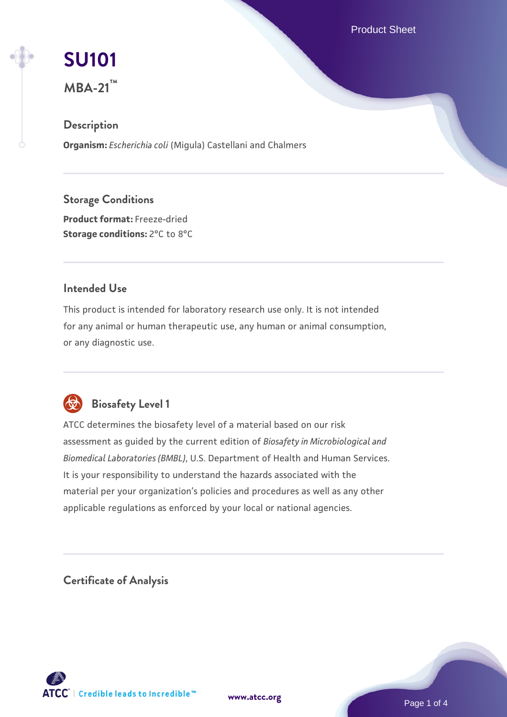Product Sheet

# **[SU101](https://www.atcc.org/products/mba-21)**

**MBA-21™**

# **Description**

**Organism:** *Escherichia coli* (Migula) Castellani and Chalmers

**Storage Conditions Product format:** Freeze-dried **Storage conditions:** 2°C to 8°C

### **Intended Use**

This product is intended for laboratory research use only. It is not intended for any animal or human therapeutic use, any human or animal consumption, or any diagnostic use.



# **Biosafety Level 1**

ATCC determines the biosafety level of a material based on our risk assessment as guided by the current edition of *Biosafety in Microbiological and Biomedical Laboratories (BMBL)*, U.S. Department of Health and Human Services. It is your responsibility to understand the hazards associated with the material per your organization's policies and procedures as well as any other applicable regulations as enforced by your local or national agencies.

**Certificate of Analysis**



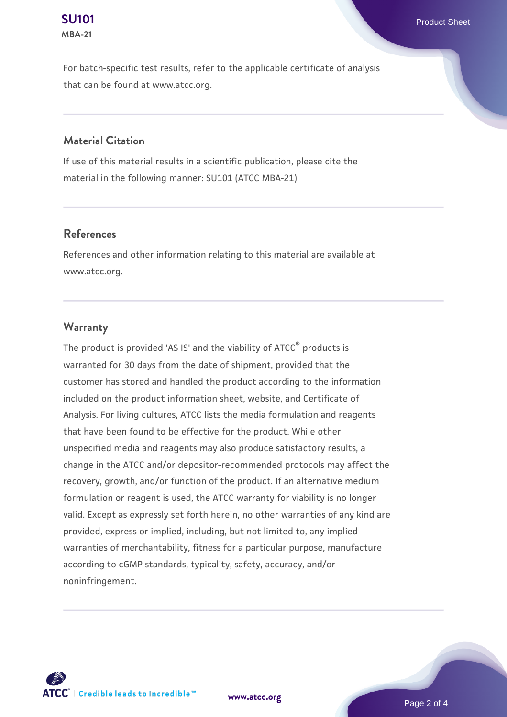For batch-specific test results, refer to the applicable certificate of analysis that can be found at www.atcc.org.

#### **Material Citation**

If use of this material results in a scientific publication, please cite the material in the following manner: SU101 (ATCC MBA-21)

#### **References**

References and other information relating to this material are available at www.atcc.org.

#### **Warranty**

The product is provided 'AS IS' and the viability of ATCC<sup>®</sup> products is warranted for 30 days from the date of shipment, provided that the customer has stored and handled the product according to the information included on the product information sheet, website, and Certificate of Analysis. For living cultures, ATCC lists the media formulation and reagents that have been found to be effective for the product. While other unspecified media and reagents may also produce satisfactory results, a change in the ATCC and/or depositor-recommended protocols may affect the recovery, growth, and/or function of the product. If an alternative medium formulation or reagent is used, the ATCC warranty for viability is no longer valid. Except as expressly set forth herein, no other warranties of any kind are provided, express or implied, including, but not limited to, any implied warranties of merchantability, fitness for a particular purpose, manufacture according to cGMP standards, typicality, safety, accuracy, and/or noninfringement.



**[www.atcc.org](http://www.atcc.org)**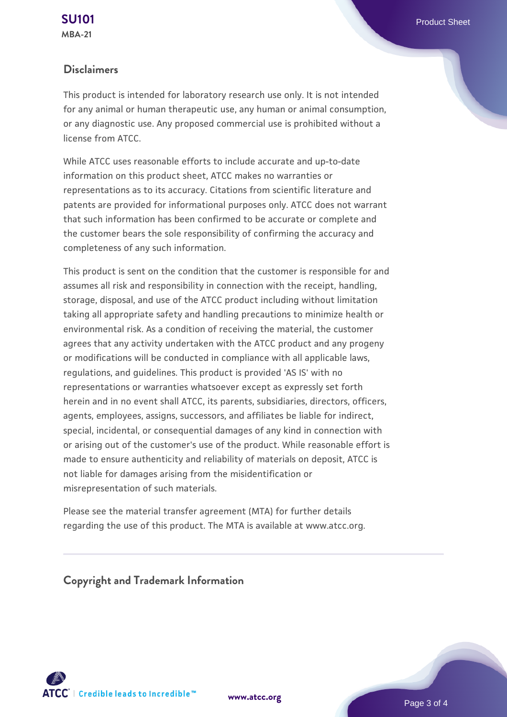#### **Disclaimers**

This product is intended for laboratory research use only. It is not intended for any animal or human therapeutic use, any human or animal consumption, or any diagnostic use. Any proposed commercial use is prohibited without a license from ATCC.

While ATCC uses reasonable efforts to include accurate and up-to-date information on this product sheet, ATCC makes no warranties or representations as to its accuracy. Citations from scientific literature and patents are provided for informational purposes only. ATCC does not warrant that such information has been confirmed to be accurate or complete and the customer bears the sole responsibility of confirming the accuracy and completeness of any such information.

This product is sent on the condition that the customer is responsible for and assumes all risk and responsibility in connection with the receipt, handling, storage, disposal, and use of the ATCC product including without limitation taking all appropriate safety and handling precautions to minimize health or environmental risk. As a condition of receiving the material, the customer agrees that any activity undertaken with the ATCC product and any progeny or modifications will be conducted in compliance with all applicable laws, regulations, and guidelines. This product is provided 'AS IS' with no representations or warranties whatsoever except as expressly set forth herein and in no event shall ATCC, its parents, subsidiaries, directors, officers, agents, employees, assigns, successors, and affiliates be liable for indirect, special, incidental, or consequential damages of any kind in connection with or arising out of the customer's use of the product. While reasonable effort is made to ensure authenticity and reliability of materials on deposit, ATCC is not liable for damages arising from the misidentification or misrepresentation of such materials.

Please see the material transfer agreement (MTA) for further details regarding the use of this product. The MTA is available at www.atcc.org.

**Copyright and Trademark Information**